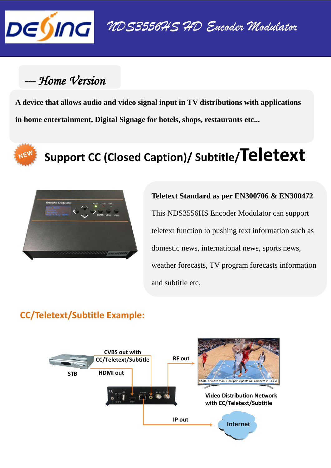

## --- Home Version

**A device that allows audio and video signal input in TV distributions with applications in home entertainment, Digital Signage for hotels, shops, restaurants etc...**

# **Support CC (Closed Caption)/ Subtitle/Teletext**



**Teletext Standard as per EN300706 & EN300472** This NDS3556HS Encoder Modulator can support teletext function to pushing text information such as domestic news, international news, sports news, weather forecasts, TV program forecasts information and subtitle etc.

#### **CC/Teletext/Subtitle Example:**

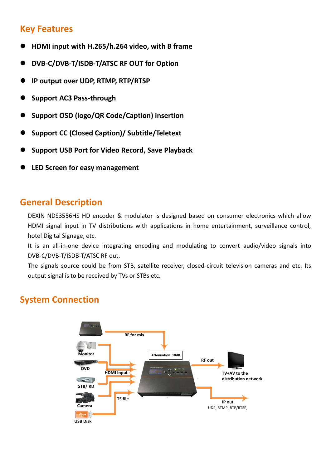#### **Key Features**

- **HDMI input with H.265/h.264 video, with B frame**
- **DVB-C/DVB-T/ISDB-T/ATSC RF OUT for Option**
- **IP output over UDP, RTMP, RTP/RTSP**
- **Support AC3 Pass-through**
- **Support OSD (logo/QR Code/Caption) insertion**
- **Support CC (Closed Caption)/ Subtitle/Teletext**
- **Support USB Port for Video Record, Save Playback**
- **LED Screen for easy management**

#### **General Description**

DEXIN NDS3556HS HD encoder & modulator is designed based on consumer electronics which allow HDMI signal input in TV distributions with applications in home entertainment, surveillance control, hotel Digital Signage, etc.

It is an all-in-one device integrating encoding and modulating to convert audio/video signals into DVB-C/DVB-T/ISDB-T/ATSC RF out.

The signals source could be from STB, satellite receiver, closed-circuit television cameras and etc. Its output signal is to be received by TVs or STBs etc.

#### **System Connection**

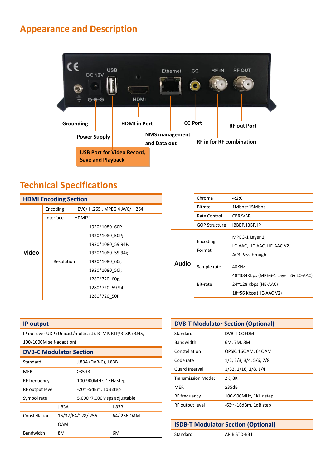### **Appearance and Description**



### **Technical Specifications**

| <b>HDMI Encoding Section</b> |                                           |                   |
|------------------------------|-------------------------------------------|-------------------|
|                              | HEVC/ H.265, MPEG 4 AVC/H.264<br>Encoding |                   |
|                              | Interface<br>$HDMI*1$                     |                   |
| Video                        |                                           | 1920*1080 60P,    |
|                              |                                           | 1920*1080_50P;    |
|                              | Resolution                                | 1920*1080_59.94P, |
|                              |                                           | 1920*1080_59.94i; |
|                              |                                           | 1920*1080 60i,    |
|                              |                                           | 1920*1080 50i;    |
|                              |                                           | 1280*720 60p,     |
|                              |                                           | 1280*720 59.94    |
|                              |                                           | 1280*720 50P      |

| <b>Bitrate</b> | Chroma               | 4:2:0                                                            |
|----------------|----------------------|------------------------------------------------------------------|
|                |                      | 1Mbps~15Mbps                                                     |
|                | Rate Control         | CBR/VBR                                                          |
|                | <b>GOP Structure</b> | IBBBP, IBBP, IP                                                  |
| Audio          | Encoding<br>Format   | MPEG-1 Layer 2,<br>LC-AAC, HE-AAC, HE-AAC V2;<br>AC3 Passthrough |
|                | Sample rate          | 48KHz                                                            |
|                | Bit-rate             | 48~384Kbps (MPEG-1 Layer 2& LC-AAC)                              |
|                |                      | $24^{\sim}128$ Kbps (HE-AAC)                                     |
|                |                      | $18^{\circ}56$ Kbps (HE-AAC V2)                                  |
|                |                      |                                                                  |

#### **IP output**

IP out over UDP (Unicast/multicast), RTMP, RTP/RTSP, (RJ45,

100/1000M self-adaption)

| <b>DVB-C Modulator Section</b> |  |  |
|--------------------------------|--|--|
|                                |  |  |

| Standard         | J.83A (DVB-C), J.83B       |            |
|------------------|----------------------------|------------|
| MFR              | $\geq$ 35dB                |            |
| RF frequency     | 100-900MHz, 1KHz step      |            |
| RF output level  | $-20^\sim$ -5dBm, 1dB step |            |
| Symbol rate      | 5.000~7.000Msps adjustable |            |
|                  | J.83A                      | J.83B      |
| Constellation    | 16/32/64/128/256           | 64/256 QAM |
|                  | QAM                        |            |
| <b>Bandwidth</b> | 8M                         | 6M         |

| <b>DVB-T Modulator Section (Optional)</b> |                               |
|-------------------------------------------|-------------------------------|
| Standard                                  | DVB-T COFDM                   |
| <b>Bandwidth</b>                          | 6M, 7M, 8M                    |
| Constellation                             | QPSK, 16QAM, 64QAM            |
| Code rate                                 | 1/2, 2/3, 3/4, 5/6, 7/8       |
| <b>Guard Interval</b>                     | 1/32, 1/16, 1/8, 1/4          |
| Transmission Mode:                        | 2K, 8K                        |
| MER                                       | ≥35dB                         |
| RF frequency                              | 100-900MHz, 1KHz step         |
| RF output level                           | $-63$ $\sim$ -16dBm, 1dB step |

| <b>ISDB-T Modulator Section (Optional)</b> |              |  |
|--------------------------------------------|--------------|--|
| Standard                                   | ARIB STD-B31 |  |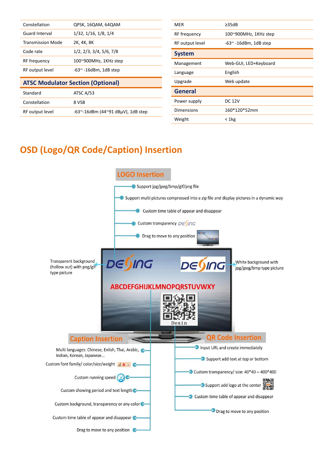| Constellation                            | QPSK, 16QAM, 64QAM                            |  |
|------------------------------------------|-----------------------------------------------|--|
| Guard Interval                           | 1/32, 1/16, 1/8, 1/4                          |  |
| <b>Transmission Mode</b>                 | 2K, 4K, 8K                                    |  |
| Code rate                                | 1/2, 2/3, 3/4, 5/6, 7/8                       |  |
| RF frequency                             | 100~900MHz, 1KHz step                         |  |
| RF output level                          | $-63$ $-16$ dBm, 1dB step                     |  |
| <b>ATSC Modulator Section (Optional)</b> |                                               |  |
| Standard                                 | ATSC A/53                                     |  |
| Constellation                            | 8 VSB                                         |  |
| RF output level                          | $-63$ $-16$ dBm (44 $\sim$ 91 dBµV), 1dB step |  |

| MER             | $\geq$ 35dB               |
|-----------------|---------------------------|
| RF frequency    | 100~900MHz, 1KHz step     |
| RF output level | $-63$ $-16$ dBm, 1dB step |
| <b>System</b>   |                           |
| Management      | Web-GUI, LED+Keyboard     |
| Language        | English                   |
| Upgrade         | Web update                |
| <b>General</b>  |                           |
| Power supply    | <b>DC 12V</b>             |
| Dimensions      | 160*120*52mm              |
| Weight          | < 1kg                     |

### **OSD (Logo/QR Code/Caption) Insertion**